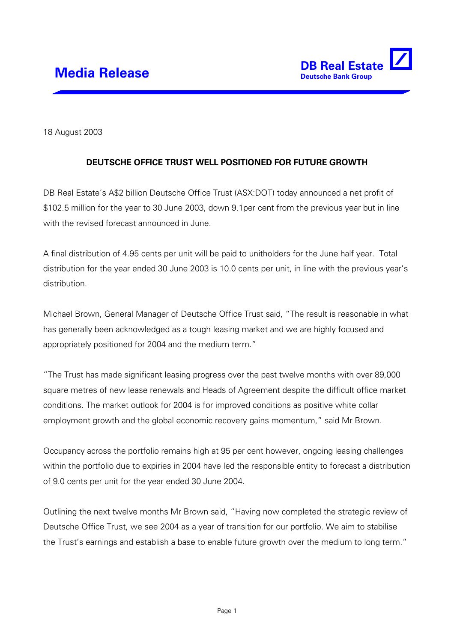

18 August 2003

## **DEUTSCHE OFFICE TRUST WELL POSITIONED FOR FUTURE GROWTH**

DB Real Estate's A\$2 billion Deutsche Office Trust (ASX:DOT) today announced a net profit of \$102.5 million for the year to 30 June 2003, down 9.1per cent from the previous year but in line with the revised forecast announced in June.

A final distribution of 4.95 cents per unit will be paid to unitholders for the June half year. Total distribution for the year ended 30 June 2003 is 10.0 cents per unit, in line with the previous year's distribution.

Michael Brown, General Manager of Deutsche Office Trust said, "The result is reasonable in what has generally been acknowledged as a tough leasing market and we are highly focused and appropriately positioned for 2004 and the medium term."

"The Trust has made significant leasing progress over the past twelve months with over 89,000 square metres of new lease renewals and Heads of Agreement despite the difficult office market conditions. The market outlook for 2004 is for improved conditions as positive white collar employment growth and the global economic recovery gains momentum," said Mr Brown.

Occupancy across the portfolio remains high at 95 per cent however, ongoing leasing challenges within the portfolio due to expiries in 2004 have led the responsible entity to forecast a distribution of 9.0 cents per unit for the year ended 30 June 2004.

Outlining the next twelve months Mr Brown said, "Having now completed the strategic review of Deutsche Office Trust, we see 2004 as a year of transition for our portfolio. We aim to stabilise the Trust's earnings and establish a base to enable future growth over the medium to long term."